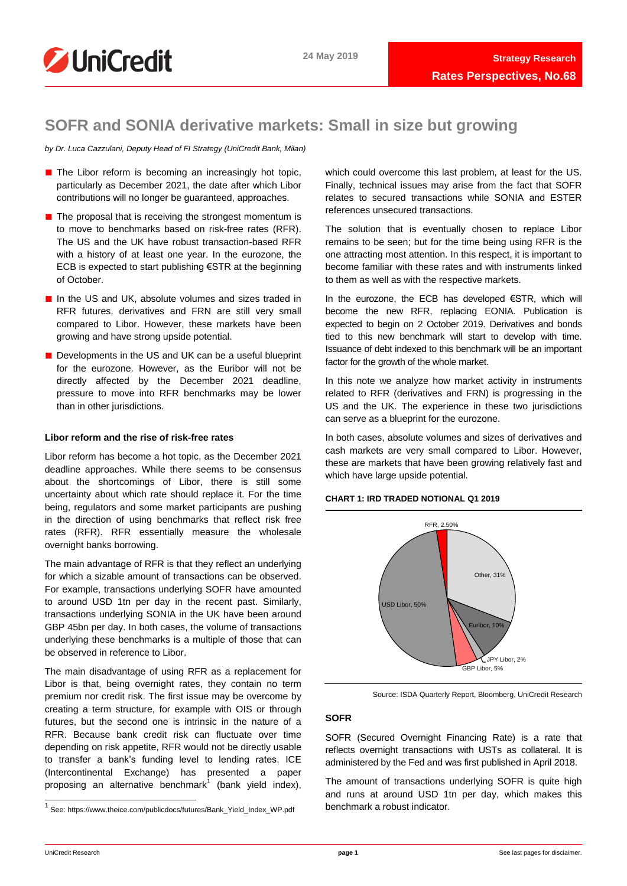

# **SOFR and SONIA derivative markets: Small in size but growing**

*by Dr. Luca Cazzulani, Deputy Head of FI Strategy (UniCredit Bank, Milan)*

- The Libor reform is becoming an increasingly hot topic, particularly as December 2021, the date after which Libor contributions will no longer be guaranteed, approaches.
- The proposal that is receiving the strongest momentum is to move to benchmarks based on risk-free rates (RFR). The US and the UK have robust transaction-based RFR with a history of at least one year. In the eurozone, the ECB is expected to start publishing €STR at the beginning of October.
- In the US and UK, absolute volumes and sizes traded in RFR futures, derivatives and FRN are still very small compared to Libor. However, these markets have been growing and have strong upside potential.
- Developments in the US and UK can be a useful blueprint for the eurozone. However, as the Euribor will not be directly affected by the December 2021 deadline, pressure to move into RFR benchmarks may be lower than in other jurisdictions.

#### **Libor reform and the rise of risk-free rates**

Libor reform has become a hot topic, as the December 2021 deadline approaches. While there seems to be consensus about the shortcomings of Libor, there is still some uncertainty about which rate should replace it. For the time being, regulators and some market participants are pushing in the direction of using benchmarks that reflect risk free rates (RFR). RFR essentially measure the wholesale overnight banks borrowing.

The main advantage of RFR is that they reflect an underlying for which a sizable amount of transactions can be observed. For example, transactions underlying SOFR have amounted to around USD 1tn per day in the recent past. Similarly, transactions underlying SONIA in the UK have been around GBP 45bn per day. In both cases, the volume of transactions underlying these benchmarks is a multiple of those that can be observed in reference to Libor.

The main disadvantage of using RFR as a replacement for Libor is that, being overnight rates, they contain no term premium nor credit risk. The first issue may be overcome by creating a term structure, for example with OIS or through futures, but the second one is intrinsic in the nature of a RFR. Because bank credit risk can fluctuate over time depending on risk appetite, RFR would not be directly usable to transfer a bank's funding level to lending rates. ICE (Intercontinental Exchange) has presented a paper proposing an alternative benchmark<sup>1</sup> (bank yield index), which could overcome this last problem, at least for the US. Finally, technical issues may arise from the fact that SOFR relates to secured transactions while SONIA and ESTER references unsecured transactions.

The solution that is eventually chosen to replace Libor remains to be seen; but for the time being using RFR is the one attracting most attention. In this respect, it is important to become familiar with these rates and with instruments linked to them as well as with the respective markets.

In the eurozone, the ECB has developed €STR, which will become the new RFR, replacing EONIA. Publication is expected to begin on 2 October 2019. Derivatives and bonds tied to this new benchmark will start to develop with time. Issuance of debt indexed to this benchmark will be an important factor for the growth of the whole market.

In this note we analyze how market activity in instruments related to RFR (derivatives and FRN) is progressing in the US and the UK. The experience in these two jurisdictions can serve as a blueprint for the eurozone.

In both cases, absolute volumes and sizes of derivatives and cash markets are very small compared to Libor. However, these are markets that have been growing relatively fast and which have large upside potential.

#### **CHART 1: IRD TRADED NOTIONAL Q1 2019**



Source: ISDA Quarterly Report, Bloomberg, UniCredit Research

# **SOFR**

SOFR (Secured Overnight Financing Rate) is a rate that reflects overnight transactions with USTs as collateral. It is administered by the Fed and was first published in April 2018.

The amount of transactions underlying SOFR is quite high and runs at around USD 1tn per day, which makes this benchmark a robust indicator.

 1 See: https://www.theice.com/publicdocs/futures/Bank\_Yield\_Index\_WP.pdf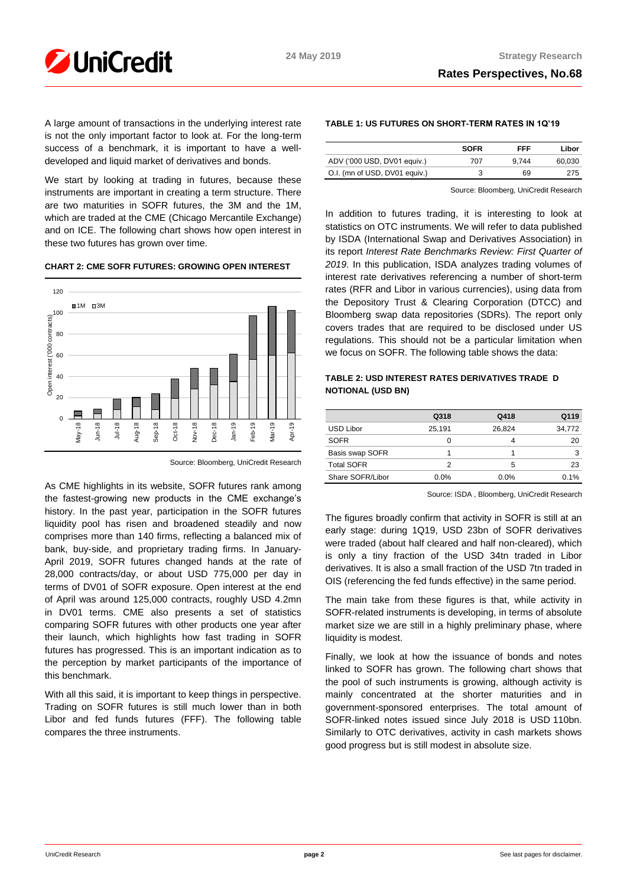

A large amount of transactions in the underlying interest rate is not the only important factor to look at. For the long-term success of a benchmark, it is important to have a welldeveloped and liquid market of derivatives and bonds.

We start by looking at trading in futures, because these instruments are important in creating a term structure. There are two maturities in SOFR futures, the 3M and the 1M, which are traded at the CME (Chicago Mercantile Exchange) and on ICE. The following chart shows how open interest in these two futures has grown over time.

## **CHART 2: CME SOFR FUTURES: GROWING OPEN INTEREST**



Source: Bloomberg, UniCredit Research

As CME highlights in its website, SOFR futures rank among the fastest-growing new products in the CME exchange's history. In the past year, participation in the SOFR futures liquidity pool has risen and broadened steadily and now comprises more than 140 firms, reflecting a balanced mix of bank, buy-side, and proprietary trading firms. In January-April 2019, SOFR futures changed hands at the rate of 28,000 contracts/day, or about USD 775,000 per day in terms of DV01 of SOFR exposure. Open interest at the end of April was around 125,000 contracts, roughly USD 4.2mn in DV01 terms. CME also presents a set of statistics comparing SOFR futures with other products one year after their launch, which highlights how fast trading in SOFR futures has progressed. This is an important indication as to the perception by market participants of the importance of this benchmark.

With all this said, it is important to keep things in perspective. Trading on SOFR futures is still much lower than in both Libor and fed funds futures (FFF). The following table compares the three instruments.

# **TABLE 1: US FUTURES ON SHORT-TERM RATES IN 1Q'19**

|                               | <b>SOFR</b> | FFF   | Libor  |
|-------------------------------|-------------|-------|--------|
| ADV ('000 USD, DV01 equiv.)   | 707         | 9.744 | 60.030 |
| O.I. (mn of USD, DV01 equiv.) |             | 69    | 275    |

Source: Bloomberg, UniCredit Research

In addition to futures trading, it is interesting to look at statistics on OTC instruments. We will refer to data published by ISDA (International Swap and Derivatives Association) in its report *Interest Rate Benchmarks Review: First Quarter of 2019*. In this publication, ISDA analyzes trading volumes of interest rate derivatives referencing a number of short-term rates (RFR and Libor in various currencies), using data from the Depository Trust & Clearing Corporation (DTCC) and Bloomberg swap data repositories (SDRs). The report only covers trades that are required to be disclosed under US regulations. This should not be a particular limitation when we focus on SOFR. The following table shows the data:

# **TABLE 2: USD INTEREST RATES DERIVATIVES TRADE D NOTIONAL (USD BN)**

|                   | Q318    | Q418    | Q119   |
|-------------------|---------|---------|--------|
| USD Libor         | 25,191  | 26.824  | 34,772 |
| <b>SOFR</b>       | O       | 4       | 20     |
| Basis swap SOFR   |         |         | 3      |
| <b>Total SOFR</b> | 2       | 5       | 23     |
| Share SOFR/Libor  | $0.0\%$ | $0.0\%$ | 0.1%   |

Source: ISDA , Bloomberg, UniCredit Research

The figures broadly confirm that activity in SOFR is still at an early stage: during 1Q19, USD 23bn of SOFR derivatives were traded (about half cleared and half non-cleared), which is only a tiny fraction of the USD 34tn traded in Libor derivatives. It is also a small fraction of the USD 7tn traded in OIS (referencing the fed funds effective) in the same period.

The main take from these figures is that, while activity in SOFR-related instruments is developing, in terms of absolute market size we are still in a highly preliminary phase, where liquidity is modest.

Finally, we look at how the issuance of bonds and notes linked to SOFR has grown. The following chart shows that the pool of such instruments is growing, although activity is mainly concentrated at the shorter maturities and in government-sponsored enterprises. The total amount of SOFR-linked notes issued since July 2018 is USD 110bn. Similarly to OTC derivatives, activity in cash markets shows good progress but is still modest in absolute size.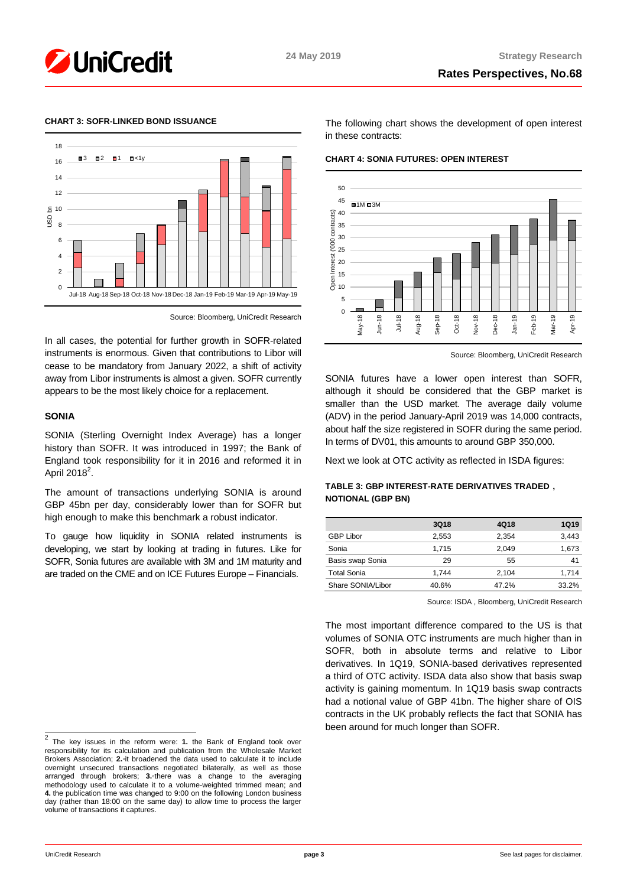



#### **CHART 3: SOFR-LINKED BOND ISSUANCE**



Source: Bloomberg, UniCredit Research

In all cases, the potential for further growth in SOFR-related instruments is enormous. Given that contributions to Libor will cease to be mandatory from January 2022, a shift of activity away from Libor instruments is almost a given. SOFR currently appears to be the most likely choice for a replacement.

#### **SONIA**

SONIA (Sterling Overnight Index Average) has a longer history than SOFR. It was introduced in 1997; the Bank of England took responsibility for it in 2016 and reformed it in April 2018 $^2$ .

The amount of transactions underlying SONIA is around GBP 45bn per day, considerably lower than for SOFR but high enough to make this benchmark a robust indicator.

To gauge how liquidity in SONIA related instruments is developing, we start by looking at trading in futures. Like for SOFR, Sonia futures are available with 3M and 1M maturity and are traded on the CME and on ICE Futures Europe – Financials.

 2 The key issues in the reform were: **1.** the Bank of England took over responsibility for its calculation and publication from the Wholesale Market Brokers Association; **2.**◦it broadened the data used to calculate it to include overnight unsecured transactions negotiated bilaterally, as well as those arranged through brokers; **3.**◦there was a change to the averaging methodology used to calculate it to a volume-weighted trimmed mean; and **4.** the publication time was changed to 9:00 on the following London business day (rather than 18:00 on the same day) to allow time to process the larger volume of transactions it captures.

The following chart shows the development of open interest in these contracts:

**CHART 4: SONIA FUTURES: OPEN INTEREST**



Source: Bloomberg, UniCredit Research

SONIA futures have a lower open interest than SOFR, although it should be considered that the GBP market is smaller than the USD market. The average daily volume (ADV) in the period January-April 2019 was 14,000 contracts, about half the size registered in SOFR during the same period. In terms of DV01, this amounts to around GBP 350,000.

Next we look at OTC activity as reflected in ISDA figures:

## **TABLE 3: GBP INTEREST-RATE DERIVATIVES TRADED , NOTIONAL (GBP BN)**

|                    | <b>3Q18</b> | 4Q18  | 1Q19  |
|--------------------|-------------|-------|-------|
| <b>GBP Libor</b>   | 2.553       | 2.354 | 3,443 |
| Sonia              | 1.715       | 2.049 | 1,673 |
| Basis swap Sonia   | 29          | 55    | 41    |
| <b>Total Sonia</b> | 1.744       | 2.104 | 1.714 |
| Share SONIA/Libor  | 40.6%       | 47.2% | 33.2% |

Source: ISDA , Bloomberg, UniCredit Research

The most important difference compared to the US is that volumes of SONIA OTC instruments are much higher than in SOFR, both in absolute terms and relative to Libor derivatives. In 1Q19, SONIA-based derivatives represented a third of OTC activity. ISDA data also show that basis swap activity is gaining momentum. In 1Q19 basis swap contracts had a notional value of GBP 41bn. The higher share of OIS contracts in the UK probably reflects the fact that SONIA has been around for much longer than SOFR.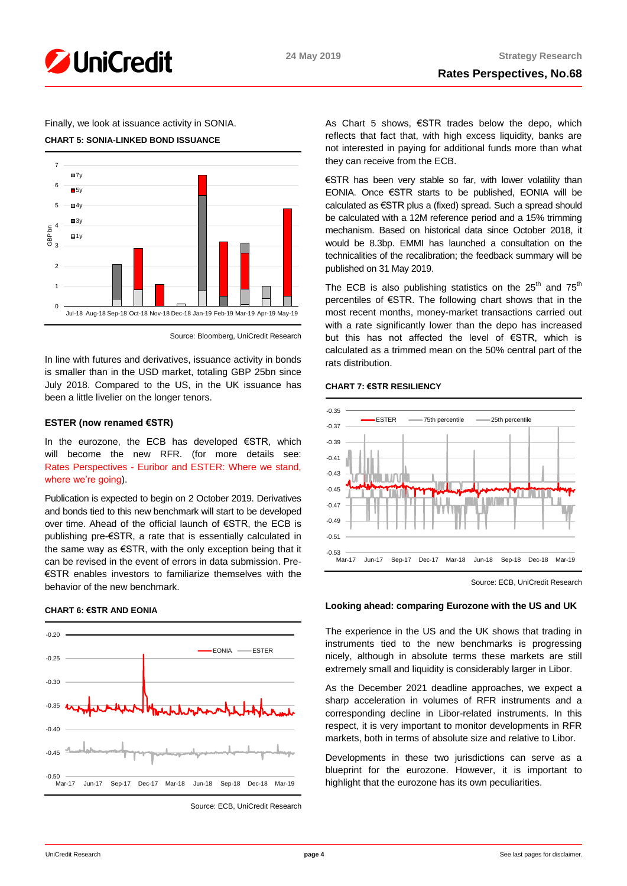

# Finally, we look at issuance activity in SONIA.

#### **CHART 5: SONIA-LINKED BOND ISSUANCE**



Source: Bloomberg, UniCredit Research

In line with futures and derivatives, issuance activity in bonds is smaller than in the USD market, totaling GBP 25bn since July 2018. Compared to the US, in the UK issuance has been a little livelier on the longer tenors.

#### **ESTER (now renamed €STR)**

In the eurozone, the ECB has developed €STR, which will become the new RFR. (for more details see: Rates Perspectives - [Euribor and ESTER: Where we stand,](https://www.research.unicredit.eu/DocsKey/fxfistrategy_docs_2019_169681.ashx?EXT=pdf&KEY=KZGTuQCn4lsvclJnUgseVEGHysWJl2NsvFsIe2gTc3YHhaYXz8CyMQ==&T=1)  [where we're going\)](https://www.research.unicredit.eu/DocsKey/fxfistrategy_docs_2019_169681.ashx?EXT=pdf&KEY=KZGTuQCn4lsvclJnUgseVEGHysWJl2NsvFsIe2gTc3YHhaYXz8CyMQ==&T=1).

Publication is expected to begin on 2 October 2019. Derivatives and bonds tied to this new benchmark will start to be developed over time. Ahead of the official launch of €STR, the ECB is publishing pre-€STR, a rate that is essentially calculated in the same way as €STR, with the only exception being that it can be revised in the event of errors in data submission. Pre- €STR enables investors to familiarize themselves with the behavior of the new benchmark.

#### **CHART 6: €STR AND EONIA**



Source: ECB, UniCredit Research

As Chart 5 shows, €STR trades below the depo, which reflects that fact that, with high excess liquidity, banks are not interested in paying for additional funds more than what they can receive from the ECB.

€STR has been very stable so far, with lower volatility than EONIA. Once €STR starts to be published, EONIA will be calculated as €STR plus a (fixed) spread. Such a spread should be calculated with a 12M reference period and a 15% trimming mechanism. Based on historical data since October 2018, it would be 8.3bp. EMMI has launched a consultation on the technicalities of the recalibration; the feedback summary will be published on 31 May 2019.

The ECB is also publishing statistics on the  $25<sup>th</sup>$  and  $75<sup>th</sup>$ percentiles of €STR. The following chart shows that in the most recent months, money-market transactions carried out with a rate significantly lower than the depo has increased but this has not affected the level of €STR, which is calculated as a trimmed mean on the 50% central part of the rats distribution.

#### **CHART 7: €STR RESILIENCY**



Source: ECB, UniCredit Research

## **Looking ahead: comparing Eurozone with the US and UK**

The experience in the US and the UK shows that trading in instruments tied to the new benchmarks is progressing nicely, although in absolute terms these markets are still extremely small and liquidity is considerably larger in Libor.

As the December 2021 deadline approaches, we expect a sharp acceleration in volumes of RFR instruments and a corresponding decline in Libor-related instruments. In this respect, it is very important to monitor developments in RFR markets, both in terms of absolute size and relative to Libor.

Developments in these two jurisdictions can serve as a blueprint for the eurozone. However, it is important to highlight that the eurozone has its own peculiarities.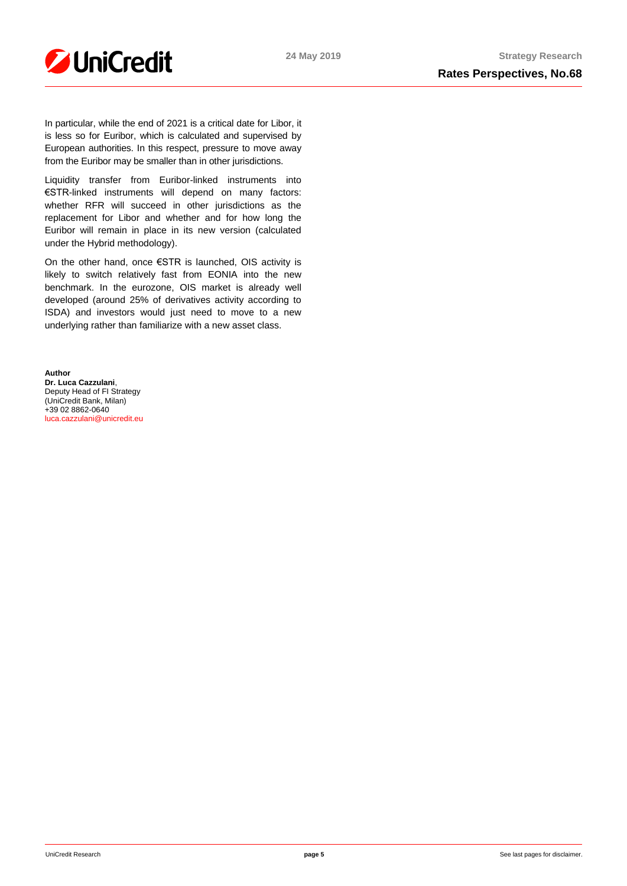

In particular, while the end of 2021 is a critical date for Libor, it is less so for Euribor, which is calculated and supervised by European authorities. In this respect, pressure to move away from the Euribor may be smaller than in other jurisdictions.

Liquidity transfer from Euribor-linked instruments into €STR-linked instruments will depend on many factors: whether RFR will succeed in other jurisdictions as the replacement for Libor and whether and for how long the Euribor will remain in place in its new version (calculated under the Hybrid methodology).

On the other hand, once €STR is launched, OIS activity is likely to switch relatively fast from EONIA into the new benchmark. In the eurozone, OIS market is already well developed (around 25% of derivatives activity according to ISDA) and investors would just need to move to a new underlying rather than familiarize with a new asset class.

**Author Dr. Luca Cazzulani**, Deputy Head of FI Strategy (UniCredit Bank, Milan) +39 02 8862-0640 [luca.cazzulani@unicredit.eu](mailto:luca.cazzulani@unicredit.eu)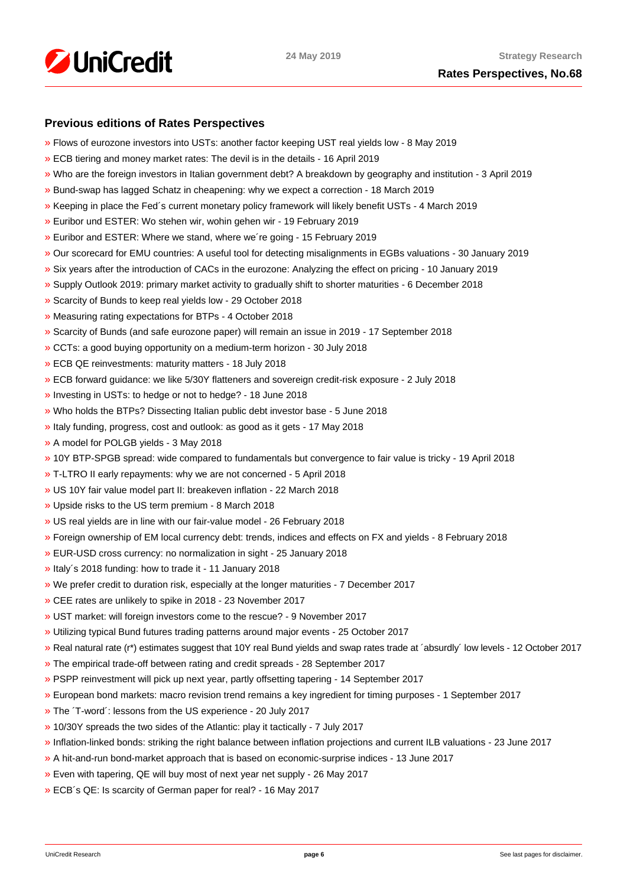

# **Previous editions of Rates Perspectives**

- [»](https://www.research.unicredit.eu/DocsKey/fxfistrategy_docs_2019_171193.ashx?EXT=pdf&KEY=KZGTuQCn4lsvclJnUgseVEGHysWJl2NsQ363zHJuO-4ubO81Q09WWw==&T=1) Flows of eurozone investors into USTs: another factor keeping UST real yields low 8 May 2019
- [»](https://www.research.unicredit.eu/DocsKey/fxfistrategy_docs_2019_170974.ashx?EXT=pdf&KEY=KZGTuQCn4lsvclJnUgseVEGHysWJl2NsRTomOaKjVl9lFV8OK8lXLA==&T=1) ECB tiering and money market rates: The devil is in the details 16 April 2019
- [»](https://www.research.unicredit.eu/DocsKey/fxfistrategy_docs_2019_170284.ashx?EXT=pdf&KEY=KZGTuQCn4lsvclJnUgseVEGHysWJl2NsEwG0xblWxFK9BVQAB4eryA==&T=1) Who are the foreign investors in Italian government debt? A breakdown by geography and institution 3 April 2019
- [»](https://www.research.unicredit.eu/DocsKey/fxfistrategy_docs_2019_170066.ashx?EXT=pdf&KEY=KZGTuQCn4lsvclJnUgseVEGHysWJl2NsNOWCS-vPqTdpZhijXIyJ5Q==&T=1) Bund-swap has lagged Schatz in cheapening: why we expect a correction 18 March 2019
- [»](https://www.research.unicredit.eu/DocsKey/fxfistrategy_docs_2019_169883.ashx?EXT=pdf&KEY=KZGTuQCn4lsvclJnUgseVEGHysWJl2Nsz9dXRsXwpAsZUUpCjW9eRw==&T=1) Keeping in place the Fed´s current monetary policy framework will likely benefit USTs 4 March 2019
- [»](https://www.research.unicredit.eu/DocsKey/fxfistrategy_docs_2019_169737.ashx?EXT=pdf&KEY=KZGTuQCn4lsvclJnUgseVEGHysWJl2NsVk__5HHS-wtgogqSIYe_pg==&T=1) Euribor und ESTER: Wo stehen wir, wohin gehen wir 19 February 2019
- [»](https://www.research.unicredit.eu/DocsKey/fxfistrategy_docs_2019_169681.ashx?EXT=pdf&KEY=KZGTuQCn4lsvclJnUgseVEGHysWJl2NsvFsIe2gTc3YHhaYXz8CyMQ==&T=1) Euribor and ESTER: Where we stand, where we´re going 15 February 2019
- [»](https://www.research.unicredit.eu/DocsKey/fxfistrategy_docs_2019_168976.ashx?EXT=pdf&KEY=KZGTuQCn4lsvclJnUgseVEGHysWJl2NsBRIhGRL9OpCAofKNpRdbqw==&T=1) Our scorecard for EMU countries: A useful tool for detecting misalignments in EGBs valuations 30 January 2019
- [»](https://www.research.unicredit.eu/DocsKey/fxfistrategy_docs_2019_168690.ashx?EXT=pdf&KEY=KZGTuQCn4lsvclJnUgseVEGHysWJl2Ns6zwNCeXNSn5_WEAdcnzkSw==&T=1) Six years after the introduction of CACs in the eurozone: Analyzing the effect on pricing 10 January 2019
- [»](https://www.research.unicredit.eu/DocsKey/fxfistrategy_docs_2018_168081.ashx?EXT=pdf&KEY=KZGTuQCn4lsvclJnUgseVGkpNcRXR5-WdODblZpTi0A4RE9IYOSOOA==&T=1) Supply Outlook 2019: primary market activity to gradually shift to shorter maturities 6 December 2018
- [»](https://www.research.unicredit.eu/DocsKey/fxfistrategy_docs_2018_167651.ashx?EXT=pdf&KEY=KZGTuQCn4lsvclJnUgseVGkpNcRXR5-WLbIUypeIHxyD3rdrNgjwjg==&T=1) Scarcity of Bunds to keep real yields low 29 October 2018
- [»](https://www.research.unicredit.eu/DocsKey/fxfistrategy_docs_2018_167362.ashx?EXT=pdf&KEY=KZGTuQCn4lsvclJnUgseVGkpNcRXR5-W7gOokc4_UKGkd-Hy3Wx_vg==&T=1) Measuring rating expectations for BTPs 4 October 2018
- [»](https://www.research.unicredit.eu/DocsKey/fxfistrategy_docs_2018_167162.ashx?EXT=pdf&KEY=KZGTuQCn4lsvclJnUgseVGkpNcRXR5-WLonU6aW-riDJHVt4RBRKJQ==&T=1) Scarcity of Bunds (and safe eurozone paper) will remain an issue in 2019 17 September 2018
- [»](https://www.research.unicredit.eu/DocsKey/fxfistrategy_docs_2018_166735.ashx?EXT=pdf&KEY=KZGTuQCn4lsvclJnUgseVGkpNcRXR5-WJcyLXLDNCHrk_1IGoA85eQ==&T=1) CCTs: a good buying opportunity on a medium-term horizon 30 July 2018
- [»](https://www.research.unicredit.eu/DocsKey/fxfistrategy_docs_2018_165506.ashx?EXT=pdf&KEY=KZGTuQCn4lsvclJnUgseVGkpNcRXR5-WelAdBLCjwv2CsrEf1G_7vA==&T=1) ECB QE reinvestments: maturity matters 18 July 2018
- [»](https://www.research.unicredit.eu/DocsKey/fxfistrategy_docs_2018_165296.ashx?EXT=pdf&KEY=KZGTuQCn4lsvclJnUgseVGkpNcRXR5-Wl83fmK6epfPJRPrdFbpp8A==&T=1) ECB forward guidance: we like 5/30Y flatteners and sovereign credit-risk exposure 2 July 2018
- [»](https://www.research.unicredit.eu/DocsKey/fxfistrategy_docs_2018_165113.ashx?EXT=pdf&KEY=KZGTuQCn4lsvclJnUgseVGkpNcRXR5-WdMw8JSHF2Ih6d0UhMlk5iA==&T=1) Investing in USTs: to hedge or not to hedge? 18 June 2018
- [»](https://www.research.unicredit.eu/DocsKey/fxfistrategy_docs_2018_164967.ashx?EXT=pdf&KEY=KZGTuQCn4lsvclJnUgseVGkpNcRXR5-WLoNFhsvJBXHbE69WfFEurg==&T=1) Who holds the BTPs? Dissecting Italian public debt investor base 5 June 2018
- [»](https://www.research.unicredit.eu/DocsKey/fxfistrategy_docs_2018_164775.ashx?EXT=pdf&KEY=KZGTuQCn4lsvclJnUgseVGkpNcRXR5-WZF21zKfJuZ_5iLWWjJ2GpQ==&T=1) Italy funding, progress, cost and outlook: as good as it gets 17 May 2018
- [»](https://www.research.unicredit.eu/DocsKey/fxfistrategy_docs_2018_164589.ashx?EXT=pdf&KEY=KZGTuQCn4lsvclJnUgseVGkpNcRXR5-WHckxsj1laTH6N7QU0C6uzQ==&T=1) A model for POLGB yields 3 May 2018
- [»](https://www.research.unicredit.eu/DocsKey/fxfistrategy_docs_2018_164411.ashx?EXT=pdf&KEY=KZGTuQCn4lsvclJnUgseVGkpNcRXR5-W4Dmv9B6O0atd94s-0yUFlA==&T=1) 10Y BTP-SPGB spread: wide compared to fundamentals but convergence to fair value is tricky 19 April 2018
- [»](https://www.research.unicredit.eu/DocsKey/fxfistrategy_docs_2018_164242.ashx?EXT=pdf&KEY=KZGTuQCn4lsvclJnUgseVGkpNcRXR5-WFjPeFcDloA2Q8h6v6oWNhw==&T=1) T-LTRO II early repayments: why we are not concerned 5 April 2018
- [»](https://www.research.unicredit.eu/DocsKey/fxfistrategy_docs_2018_164099.ashx?EXT=pdf&KEY=KZGTuQCn4lsvclJnUgseVGkpNcRXR5-WK-s5y8Kxt0FmgxTPbhrZtA==&T=1) US 10Y fair value model part II: breakeven inflation 22 March 2018
- [»](https://www.research.unicredit.eu/DocsKey/fxfistrategy_docs_2018_163914.ashx?EXT=pdf&KEY=KZGTuQCn4lsvclJnUgseVGkpNcRXR5-W6uAyZrmo_juOWp31QBzAwQ==&T=1) Upside risks to the US term premium 8 March 2018
- [»](https://www.research.unicredit.eu/DocsKey/fxfistrategy_docs_2018_163795.ashx?EXT=pdf&KEY=KZGTuQCn4lsvclJnUgseVGkpNcRXR5-W31oteEsRkw-wRr-E75wyXQ==&T=1) US real yields are in line with our fair-value model 26 February 2018
- [»](https://www.research.unicredit.eu/DocsKey/fxfistrategy_docs_2018_163569.ashx?EXT=pdf&KEY=KZGTuQCn4lsvclJnUgseVGkpNcRXR5-WOwinUv5yvR4A_iRZMMXqUg==&T=1) Foreign ownership of EM local currency debt: trends, indices and effects on FX and yields 8 February 2018
- [»](https://www.research.unicredit.eu/DocsKey/fxfistrategy_docs_2018_163350.ashx?EXT=pdf&KEY=KZGTuQCn4lsvclJnUgseVGkpNcRXR5-WSfc0pL8-Nw1KrcsN90zewQ==&T=1) EUR-USD cross currency: no normalization in sight 25 January 2018
- [»](https://www.research.unicredit.eu/DocsKey/fxfistrategy_docs_2018_163165.ashx?EXT=pdf&KEY=KZGTuQCn4lsvclJnUgseVGkpNcRXR5-WizOxQ_qd2pKve_EGsME8pw==&T=1) Italy´s 2018 funding: how to trade it 11 January 2018
- [»](https://www.research.unicredit.eu/DocsKey/fxfistrategy_docs_2017_162876.ashx?EXT=pdf&KEY=KZGTuQCn4lsvclJnUgseVBaZnvdiHIQjhlAgRXaAk9xO-WbIBHzmug==&T=1) We prefer credit to duration risk, especially at the longer maturities 7 December 2017
- [»](https://www.research.unicredit.eu/DocsKey/fxfistrategy_docs_2017_162702.ashx?EXT=pdf&KEY=KZGTuQCn4lsvclJnUgseVBaZnvdiHIQj7kV9jp7KGvx_rQqXOlHcBw==&T=1) CEE rates are unlikely to spike in 2018 23 November 2017
- [»](https://www.research.unicredit.eu/DocsKey/fxfistrategy_docs_2017_162521.ashx?EXT=pdf&KEY=KZGTuQCn4lsvclJnUgseVBaZnvdiHIQjHP5HTV6m0S1CZt4h4v7Z7Q==&T=1) UST market: will foreign investors come to the rescue? 9 November 2017
- [»](https://www.research.unicredit.eu/DocsKey/fxfistrategy_docs_2017_162320.ashx?EXT=pdf&KEY=KZGTuQCn4lsvclJnUgseVBaZnvdiHIQj7vBnJBqFdLl3ZPdTI9qTEg==&T=1) Utilizing typical Bund futures trading patterns around major events 25 October 2017
- [»](https://www.research.unicredit.eu/DocsKey/fxfistrategy_docs_2017_162088.ashx?EXT=pdf&KEY=KZGTuQCn4lsvclJnUgseVBaZnvdiHIQjLG2elrHjRgNsVyg0ExmjEg==&T=1) Real natural rate (r\*) estimates suggest that 10Y real Bund yields and swap rates trade at ´absurdly´ low levels 12 October 2017
- [»](https://www.research.unicredit.eu/DocsKey/fxfistrategy_docs_2017_161898.ashx?EXT=pdf&KEY=KZGTuQCn4lsvclJnUgseVBaZnvdiHIQjrj0KZCHHFHi6OScMLpHSeg==&T=1) The empirical trade-off between rating and credit spreads 28 September 2017
- [»](https://www.research.unicredit.eu/DocsKey/fxfistrategy_docs_2017_161722.ashx?EXT=pdf&KEY=KZGTuQCn4lsvclJnUgseVBaZnvdiHIQj2RiMvOdXRPDdJKTt9ts8Kg==&T=1) PSPP reinvestment will pick up next year, partly offsetting tapering 14 September 2017
- [»](https://www.research.unicredit.eu/DocsKey/fxfistrategy_docs_2017_161534.ashx?EXT=pdf&KEY=KZGTuQCn4lsvclJnUgseVBaZnvdiHIQjVxL97NWBQ2U0RIuZAXWj6Q==&T=1) European bond markets: macro revision trend remains a key ingredient for timing purposes 1 September 2017
- [»](https://www.research.unicredit.eu/DocsKey/fxfistrategy_docs_2017_161025.ashx?EXT=pdf&KEY=KZGTuQCn4lsvclJnUgseVBaZnvdiHIQjHTPE5wRiE1gKKsnUfpC3fQ==&T=1) The ´T-word´: lessons from the US experience 20 July 2017
- [»](https://www.research.unicredit.eu/DocsKey/fxfistrategy_docs_2017_160810.ashx?EXT=pdf&KEY=KZGTuQCn4lsvclJnUgseVBaZnvdiHIQjtaQqMdLfQgUWFRAgBEcyHQ==&T=1) 10/30Y spreads the two sides of the Atlantic: play it tactically 7 July 2017
- [»](https://www.research.unicredit.eu/DocsKey/fxfistrategy_docs_2017_160511.ashx?EXT=pdf&KEY=KZGTuQCn4lsvclJnUgseVBaZnvdiHIQjPT9pq4vd_J0MIyuHYzmaBw==&T=1) Inflation-linked bonds: striking the right balance between inflation projections and current ILB valuations 23 June 2017
- [»](https://www.research.unicredit.eu/DocsKey/fxfistrategy_docs_2017_160322.ashx?EXT=pdf&KEY=KZGTuQCn4lsvclJnUgseVBaZnvdiHIQj1LVUoPnmEtgESKpkaXht5w==&T=1) A hit-and-run bond-market approach that is based on economic-surprise indices 13 June 2017
- [»](https://www.research.unicredit.eu/DocsKey/fxfistrategy_docs_2017_160058.ashx?EXT=pdf&KEY=KZGTuQCn4lsvclJnUgseVBaZnvdiHIQjH5VoE968jPjoHa3tNMC3oA==&T=1) Even with tapering, QE will buy most of next year net supply 26 May 2017
- [»](https://www.research.unicredit.eu/DocsKey/fxfistrategy_docs_2017_159905.ashx?EXT=pdf&KEY=KZGTuQCn4lsvclJnUgseVBaZnvdiHIQj1qWFB6Im-fGVtLgOI6tXRg==&T=1) ECB´s QE: Is scarcity of German paper for real? 16 May 2017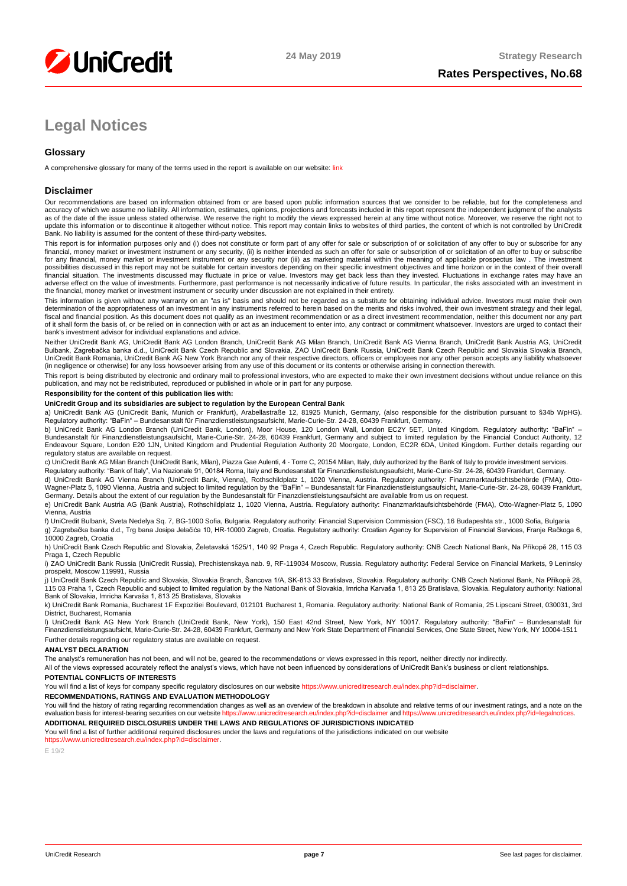

# **Legal Notices**

#### **Glossary**

A comprehensive glossary for many of the terms used in the report is available on our website: [link](https://www.unicreditresearch.eu/index.php?id=glossary)

#### **Disclaimer**

Our recommendations are based on information obtained from or are based upon public information sources that we consider to be reliable, but for the completeness and<br>accuracy of which we assume no liability. All informatio as of the date of the issue unless stated otherwise. We reserve the right to modify the views expressed herein at any time without notice. Moreover, we reserve the right not to update this information or to discontinue it altogether without notice. This report may contain links to websites of third parties, the content of which is not controlled by UniCredit Bank. No liability is assumed for the content of these third-party websites.

This report is for information purposes only and (i) does not constitute or form part of any offer for sale or subscription of or solicitation of any offer to buy or subscribe for any<br>financial, money market or investment for any financial, money market or investment instrument or any security nor (iii) as marketing material within the meaning of applicable prospectus law . The investment possibilities discussed in this report may not be suitable for certain investors depending on their specific investment objectives and time horizon or in the context of their overall<br>financial situation. The investments di adverse effect on the value of investments. Furthermore, past performance is not necessarily indicative of future results. In particular, the risks associated with an investment in the financial, money market or investment instrument or security under discussion are not explained in their entirety.

This information is given without any warranty on an "as is" basis and should not be regarded as a substitute for obtaining individual advice. Investors must make their own determination of the appropriateness of an investment in any instruments referred to herein based on the merits and risks involved, their own investment strategy and their legal,<br>fiscal and financial position. As this docu of it shall form the basis of, or be relied on in connection with or act as an inducement to enter into, any contract or commitment whatsoever. Investors are urged to contact their bank's investment advisor for individual explanations and advice.

Neither UniCredit Bank AG, UniCredit Bank AG London Branch, UniCredit Bank AG Milan Branch, UniCredit Bank AG Vienna Branch, UniCredit Bank Austria AG, UniCredit Bulbank, Zagrebačka banka d.d., UniCredit Bank Czech Republic and Slovakia, ZAO UniCredit Bank Russia, UniCredit Bank Czech Republic and Slovakia Slovakia Branch,<br>UniCredit Bank Romania, UniCredit Bank AG New York Branch n (in negligence or otherwise) for any loss howsoever arising from any use of this document or its contents or otherwise arising in connection therewith.

This report is being distributed by electronic and ordinary mail to professional investors, who are expected to make their own investment decisions without undue reliance on this<br>publication, and may not be redistributed,

**Responsibility for the content of this publication lies with:** 

#### **UniCredit Group and its subsidiaries are subject to regulation by the European Central Bank**

a) UniCredit Bank AG (UniCredit Bank, Munich or Frankfurt), Arabellastraße 12, 81925 Munich, Germany, (also responsible for the distribution pursuant to §34b WpHG).<br>Regulatory authority: "BaFin" – Bundesanstalt für Finanzd

b) UniCredit Bank AG London Branch (UniCredit Bank, London), Moor House, 120 London Wall, London EC2Y 5ET, United Kingdom. Regulatory authority: "BaFin" –<br>Bundesanstalt für Finanzdienstleistungsaufsicht, Marie-Curie-Str. 2 Endeavour Square, London E20 1JN, United Kingdom and Prudential Regulation Authority 20 Moorgate, London, EC2R 6DA, United Kingdom. Further details regarding our regulatory status are available on request.

c) UniCredit Bank AG Milan Branch (UniCredit Bank, Milan), Piazza Gae Aulenti, 4 - Torre C, 20154 Milan, Italy, duly authorized by the Bank of Italy to provide investment services. Regulatory authority: "Bank of Italy", Via Nazionale 91, 00184 Roma, Italy and Bundesanstalt für Finanzdienstleistungsaufsicht, Marie-Curie-Str. 24-28, 60439 Frankfurt, Germany.

d) UniCredit Bank AG Vienna Branch (UniCredit Bank, Vienna), Rothschildplatz 1, 1020 Vienna, Austria. Regulatory authority: Finanzmarktaufsichtsbehörde (FMA), Otto-<br>Wagner-Platz 5, 1090 Vienna, Austria and subject to limit Germany. Details about the extent of our regulation by the Bundesanstalt für Finanzdienstleistungsaufsicht are available from us on request.

e) UniCredit Bank Austria AG (Bank Austria), Rothschildplatz 1, 1020 Vienna, Austria. Regulatory authority: Finanzmarktaufsichtsbehörde (FMA), Otto-Wagner-Platz 5, 1090 Vienna, Austria

f) UniCredit Bulbank, Sveta Nedelya Sq. 7, BG-1000 Sofia, Bulgaria. Regulatory authority: Financial Supervision Commission (FSC), 16 Budapeshta str., 1000 Sofia, Bulgaria g) Zagrebačka banka d.d., Trg bana Josipa Jelačića 10, HR-10000 Zagreb, Croatia. Regulatory authority: Croatian Agency for Supervision of Financial Services, Franje Račkoga 6, 10000 Zagreb, Croatia

h) UniCredit Bank Czech Republic and Slovakia, Želetavská 1525/1, 140 92 Praga 4, Czech Republic. Regulatory authority: CNB Czech National Bank, Na Příkopě 28, 115 03 Praga 1, Czech Republic

i) ZAO UniCredit Bank Russia (UniCredit Russia), Prechistenskaya nab. 9, RF-119034 Moscow, Russia. Regulatory authority: Federal Service on Financial Markets, 9 Leninsky prospekt, Moscow 119991, Russia

j) UniCredit Bank Czech Republic and Slovakia, Slovakia Branch, Šancova 1/A, SK-813 33 Bratislava, Slovakia. Regulatory authority: CNB Czech National Bank, Na Příkopě 28,<br>115 03 Praha 1, Czech Republic and subject to limit Bank of Slovakia, Imricha Karvaša 1, 813 25 Bratislava, Slovakia

k) UniCredit Bank Romania, Bucharest 1F Expozitiei Boulevard, 012101 Bucharest 1, Romania. Regulatory authority: National Bank of Romania, 25 Lipscani Street, 030031, 3rd District, Bucharest, Romania

l) UniCredit Bank AG New York Branch (UniCredit Bank, New York), 150 East 42nd Street, New York, NY 10017. Regulatory authority: "BaFin" – Bundesanstalt für<br>Finanzdienstleistungsaufsicht, Marie-Curie-Str. 24-28, 60439 Fran Further details regarding our regulatory status are available on request.

#### **ANALYST DECLARATION**

The analyst's remuneration has not been, and will not be, geared to the recommendations or views expressed in this report, neither directly nor indirectly.

All of the views expressed accurately reflect the analyst's views, which have not been influenced by considerations of UniCredit Bank's business or client relationships. **POTENTIAL CONFLICTS OF INTERESTS**

You will find a list of keys for company specific regulatory disclosures on our websit[e https://www.unicreditresearch.eu/index.php?id=disclaimer.](https://www.unicreditresearch.eu/index.php?id=disclaimer)

**RECOMMENDATIONS, RATINGS AND EVALUATION METHODOLOGY** 

You will find the history of rating regarding recommendation changes as well as an overview of the breakdown in absolute and relative terms of our investment ratings, and a note on the evaluation basis for interest-bearing securities on our websit[e https://www.unicreditresearch.eu/index.php?id=disclaimer](https://www.unicreditresearch.eu/index.php?id=disclaimer) and https://www.unicreditresearch.eu/index.php?id=leg **ADDITIONAL REQUIRED DISCLOSURES UNDER THE LAWS AND REGULATIONS OF JURISDICTIONS INDICATED**

You will find a list of further additional required disclosures under the laws and regulations of the jurisdictions indicated on our website

[https://www.unicreditresearch.eu/index.php?id=disclaimer.](https://www.unicreditresearch.eu/index.php?id=disclaimer) 

E 19/2